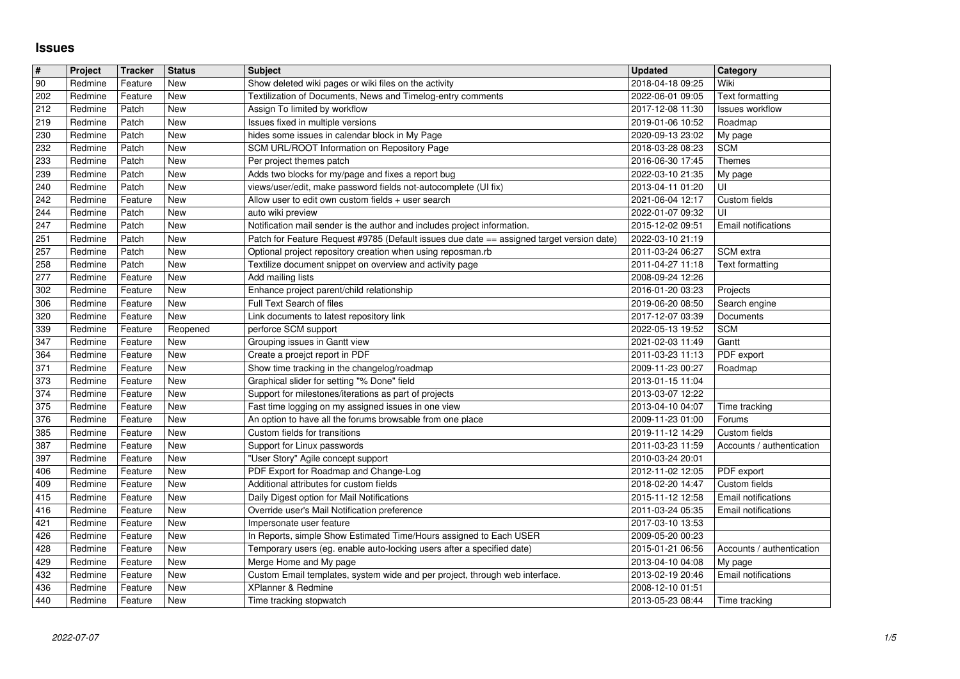## **Issues**

| $\overline{\boldsymbol{H}}$ | Project            | <b>Tracker</b>     | <b>Status</b> | <b>Subject</b>                                                                                | <b>Updated</b>                       | Category                    |
|-----------------------------|--------------------|--------------------|---------------|-----------------------------------------------------------------------------------------------|--------------------------------------|-----------------------------|
| 90                          | Redmine            | Feature            | New           | Show deleted wiki pages or wiki files on the activity                                         | 2018-04-18 09:25                     | Wiki                        |
| 202                         | Redmine            | Feature            | New           | Textilization of Documents, News and Timelog-entry comments                                   | 2022-06-01 09:05                     | <b>Text formatting</b>      |
| 212                         | Redmine            | Patch              | New           | Assign To limited by workflow                                                                 | 2017-12-08 11:30                     | Issues workflow             |
| 219                         | Redmine            | Patch              | New           | Issues fixed in multiple versions                                                             | 2019-01-06 10:52                     | Roadmap                     |
| 230                         | Redmine            | Patch<br>Patch     | New<br>New    | hides some issues in calendar block in My Page<br>SCM URL/ROOT Information on Repository Page | 2020-09-13 23:02                     | My page                     |
| 232<br>233                  | Redmine<br>Redmine | Patch              | New           | Per project themes patch                                                                      | 2018-03-28 08:23<br>2016-06-30 17:45 | <b>SCM</b><br><b>Themes</b> |
| 239                         | Redmine            | Patch              | New           | Adds two blocks for my/page and fixes a report bug                                            | 2022-03-10 21:35                     | My page                     |
| 240                         | Redmine            | Patch              | New           | views/user/edit, make password fields not-autocomplete (UI fix)                               | 2013-04-11 01:20                     | UI                          |
| 242                         | Redmine            | Feature            | New           | Allow user to edit own custom fields $+$ user search                                          | 2021-06-04 12:17                     | Custom fields               |
| 244                         | Redmine            | Patch              | New           | auto wiki preview                                                                             | 2022-01-07 09:32                     | UI                          |
| 247                         | Redmine            | Patch              | New           | Notification mail sender is the author and includes project information.                      | 2015-12-02 09:51                     | <b>Email notifications</b>  |
| 251                         | Redmine            | Patch              | New           | Patch for Feature Request #9785 (Default issues due date == assigned target version date)     | 2022-03-10 21:19                     |                             |
| 257                         | Redmine            | Patch              | New           | Optional project repository creation when using reposman.rb                                   | 2011-03-24 06:27                     | SCM extra                   |
| 258                         | Redmine            | Patch              | New           | Textilize document snippet on overview and activity page                                      | 2011-04-27 11:18                     | <b>Text formatting</b>      |
| 277                         | Redmine            | Feature            | New           | Add mailing lists                                                                             | 2008-09-24 12:26                     |                             |
| 302<br>306                  | Redmine<br>Redmine | Feature<br>Feature | New<br>New    | Enhance project parent/child relationship<br>Full Text Search of files                        | 2016-01-20 03:23<br>2019-06-20 08:50 | Projects<br>Search engine   |
| 320                         | Redmine            | Feature            | New           | Link documents to latest repository link                                                      | 2017-12-07 03:39                     | Documents                   |
| 339                         | Redmine            | Feature            | Reopened      | perforce SCM support                                                                          | 2022-05-13 19:52                     | <b>SCM</b>                  |
| 347                         | Redmine            | Feature            | New           | Grouping issues in Gantt view                                                                 | 2021-02-03 11:49                     | Gantt                       |
| 364                         | Redmine            | Feature            | New           | Create a proejct report in PDF                                                                | 2011-03-23 11:13                     | PDF export                  |
| 371                         | Redmine            | Feature            | New           | Show time tracking in the changelog/roadmap                                                   | 2009-11-23 00:27                     | Roadmap                     |
| 373                         | Redmine            | Feature            | New           | Graphical slider for setting "% Done" field                                                   | 2013-01-15 11:04                     |                             |
| 374                         | Redmine            | Feature            | New           | Support for milestones/iterations as part of projects                                         | 2013-03-07 12:22                     |                             |
| 375                         | Redmine            | Feature            | New           | Fast time logging on my assigned issues in one view                                           | 2013-04-10 04:07                     | Time tracking               |
| 376                         | Redmine            | Feature            | New           | An option to have all the forums browsable from one place                                     | 2009-11-23 01:00                     | Forums                      |
| 385                         | Redmine            | Feature            | New           | Custom fields for transitions                                                                 | 2019-11-12 14:29                     | Custom fields               |
| 387                         | Redmine            | Feature            | New           | Support for Linux passwords                                                                   | 2011-03-23 11:59                     | Accounts / authentication   |
| 397                         | Redmine            | Feature            | New           | "User Story" Agile concept support                                                            | 2010-03-24 20:01                     |                             |
| 406                         | Redmine            | Feature            | New<br>New    | PDF Export for Roadmap and Change-Log<br>Additional attributes for custom fields              | 2012-11-02 12:05                     | PDF export<br>Custom fields |
| 409<br>415                  | Redmine<br>Redmine | Feature<br>Feature | New           | Daily Digest option for Mail Notifications                                                    | 2018-02-20 14:47<br>2015-11-12 12:58 | Email notifications         |
| 416                         | Redmine            | Feature            | New           | Override user's Mail Notification preference                                                  | 2011-03-24 05:35                     | Email notifications         |
| 421                         | Redmine            | Feature            | New           | Impersonate user feature                                                                      | 2017-03-10 13:53                     |                             |
| 426                         | Redmine            | Feature            | New           | In Reports, simple Show Estimated Time/Hours assigned to Each USER                            | 2009-05-20 00:23                     |                             |
| 428                         | Redmine            | Feature            | New           | Temporary users (eg. enable auto-locking users after a specified date)                        | 2015-01-21 06:56                     | Accounts / authentication   |
| 429                         | Redmine            | Feature            | New           | Merge Home and My page                                                                        | 2013-04-10 04:08                     | My page                     |
| 432                         | Redmine            | Feature            | New           | Custom Email templates, system wide and per project, through web interface.                   | 2013-02-19 20:46 Email notifications |                             |
| 436                         | Redmine            | Feature            | <b>New</b>    | XPlanner & Redmine                                                                            | 2008-12-10 01:51                     |                             |
|                             |                    |                    |               |                                                                                               |                                      |                             |
|                             |                    |                    |               |                                                                                               |                                      |                             |
|                             |                    |                    |               |                                                                                               |                                      |                             |
|                             |                    |                    |               |                                                                                               |                                      |                             |
|                             |                    |                    |               |                                                                                               |                                      |                             |
|                             |                    |                    |               |                                                                                               |                                      |                             |
|                             |                    |                    |               |                                                                                               |                                      |                             |
|                             |                    |                    |               |                                                                                               |                                      |                             |
|                             |                    |                    |               |                                                                                               |                                      |                             |
|                             |                    |                    |               |                                                                                               |                                      |                             |
|                             |                    |                    |               |                                                                                               |                                      |                             |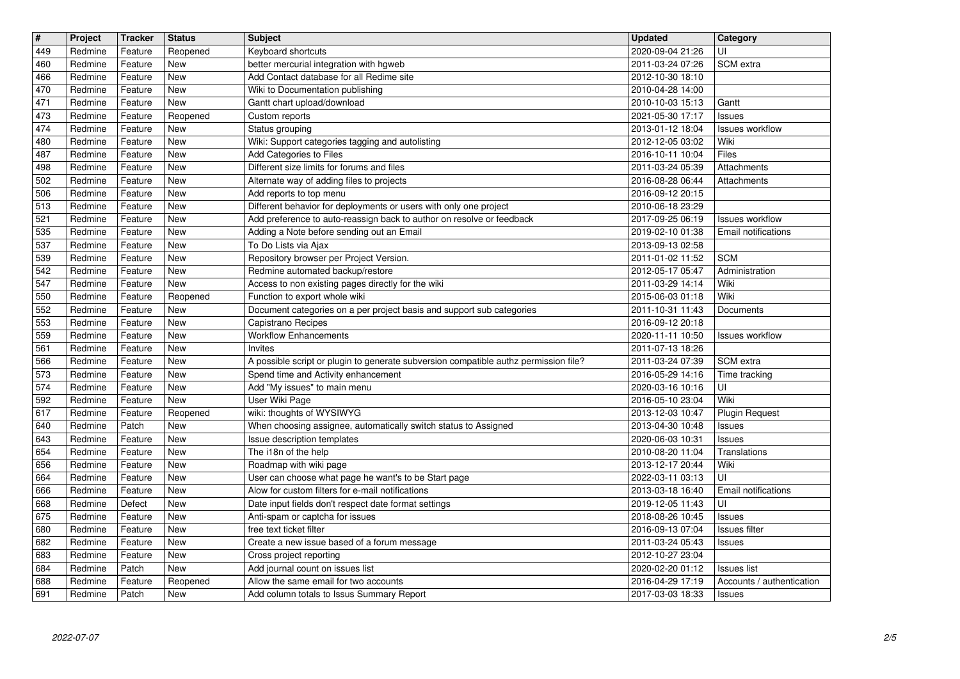| $\overline{\mathbf{H}}$ | Project            | <b>Tracker</b>     | <b>Status</b>          | <b>Subject</b>                                                                               | <b>Updated</b>                       | Category                               |
|-------------------------|--------------------|--------------------|------------------------|----------------------------------------------------------------------------------------------|--------------------------------------|----------------------------------------|
| 449<br>460              | Redmine<br>Redmine | Feature<br>Feature | Reopened<br>New        | Keyboard shortcuts<br>better mercurial integration with hgweb                                | 2020-09-04 21:26<br>2011-03-24 07:26 | UI<br>SCM extra                        |
| 466                     | Redmine            | Feature            | New                    | Add Contact database for all Redime site                                                     | 2012-10-30 18:10                     |                                        |
| 470<br>471              | Redmine<br>Redmine | Feature<br>Feature | New<br>New             | Wiki to Documentation publishing<br>Gantt chart upload/download                              | 2010-04-28 14:00<br>2010-10-03 15:13 | Gantt                                  |
| 473                     | Redmine            | Feature            | Reopened               | Custom reports                                                                               | 2021-05-30 17:17                     | Issues                                 |
| 474                     | Redmine<br>Redmine | Feature<br>Feature | New<br>New             | Status grouping<br>Wiki: Support categories tagging and autolisting                          | 2013-01-12 18:04<br>2012-12-05 03:02 | <b>Issues workflow</b><br>Wiki         |
| 480<br>487              | Redmine            | Feature            | New                    | Add Categories to Files                                                                      | 2016-10-11 10:04                     | Files                                  |
| 498                     | Redmine            | Feature            | New                    | Different size limits for forums and files                                                   | 2011-03-24 05:39                     | Attachments                            |
| 502<br>506              | Redmine<br>Redmine | Feature<br>Feature | <b>New</b><br>New      | Alternate way of adding files to projects<br>Add reports to top menu                         | 2016-08-28 06:44<br>2016-09-12 20:15 | Attachments                            |
| 513                     | Redmine            | Feature            | New                    | Different behavior for deployments or users with only one project                            | 2010-06-18 23:29                     |                                        |
| 521                     | Redmine            | Feature            | New                    | Add preference to auto-reassign back to author on resolve or feedback                        | 2017-09-25 06:19                     | <b>Issues workflow</b>                 |
| 535<br>537              | Redmine<br>Redmine | Feature<br>Feature | New<br>New             | Adding a Note before sending out an Email<br>To Do Lists via Ajax                            | 2019-02-10 01:38<br>2013-09-13 02:58 | Email notifications                    |
| 539                     | Redmine            | Feature            | New                    | Repository browser per Project Version.                                                      | 2011-01-02 11:52                     | <b>SCM</b>                             |
| 542<br>547              | Redmine<br>Redmine | Feature<br>Feature | New<br>New             | Redmine automated backup/restore<br>Access to non existing pages directly for the wiki       | 2012-05-17 05:47<br>2011-03-29 14:14 | Administration<br>Wiki                 |
| 550                     | Redmine            | Feature            | Reopened               | Function to export whole wiki                                                                | 2015-06-03 01:18                     | Wiki                                   |
| 552                     | Redmine            | Feature            | New                    | Document categories on a per project basis and support sub categories                        | 2011-10-31 11:43                     | Documents                              |
| 553<br>559              | Redmine<br>Redmine | Feature<br>Feature | New<br>New             | Capistrano Recipes<br><b>Workflow Enhancements</b>                                           | 2016-09-12 20:18<br>2020-11-11 10:50 | <b>Issues workflow</b>                 |
| 561                     | Redmine            | Feature            | New                    | Invites                                                                                      | 2011-07-13 18:26                     |                                        |
| 566                     | Redmine            | Feature            | <b>New</b>             | A possible script or plugin to generate subversion compatible authz permission file?         | 2011-03-24 07:39                     | <b>SCM</b> extra                       |
| 573<br>574              | Redmine<br>Redmine | Feature<br>Feature | New<br>New             | Spend time and Activity enhancement<br>Add "My issues" to main menu                          | 2016-05-29 14:16<br>2020-03-16 10:16 | Time tracking<br>UI                    |
| 592                     | Redmine            | Feature            | New                    | User Wiki Page                                                                               | 2016-05-10 23:04                     | Wiki                                   |
| 617<br>640              | Redmine<br>Redmine | Feature<br>Patch   | Reopened<br><b>New</b> | wiki: thoughts of WYSIWYG<br>When choosing assignee, automatically switch status to Assigned | 2013-12-03 10:47<br>2013-04-30 10:48 | <b>Plugin Request</b><br><b>Issues</b> |
| 643                     | Redmine            | Feature            | New                    | Issue description templates                                                                  | 2020-06-03 10:31                     | Issues                                 |
| 654                     | Redmine            | Feature            | New                    | The i18n of the help                                                                         | 2010-08-20 11:04                     | Translations                           |
| 656<br>664              | Redmine<br>Redmine | Feature<br>Feature | New<br><b>New</b>      | Roadmap with wiki page<br>User can choose what page he want's to be Start page               | 2013-12-17 20:44<br>2022-03-11 03:13 | Wiki<br>UI                             |
| 666                     | Redmine            | Feature            | New                    | Alow for custom filters for e-mail notifications                                             | 2013-03-18 16:40                     | Email notifications                    |
| 668                     | Redmine            | Defect             | New                    | Date input fields don't respect date format settings                                         | 2019-12-05 11:43                     | UI                                     |
| 675<br>680              | Redmine<br>Redmine | Feature<br>Feature | New<br>New             | Anti-spam or captcha for issues<br>free text ticket filter                                   | 2018-08-26 10:45<br>2016-09-13 07:04 | Issues<br>Issues filter                |
| 682                     | Redmine            | Feature            | <b>New</b>             | Create a new issue based of a forum message                                                  | 2011-03-24 05:43                     | <b>Issues</b>                          |
| 683<br>684              | Redmine<br>Redmine | Feature<br>Patch   | New<br>New             | Cross project reporting<br>Add journal count on issues list                                  | 2012-10-27 23:04<br>2020-02-20 01:12 | <b>Issues list</b>                     |
| 688                     | Redmine            | Feature            | Reopened               | Allow the same email for two accounts                                                        | 2016-04-29 17:19                     | Accounts / authentication              |
|                         |                    |                    |                        |                                                                                              |                                      |                                        |
|                         |                    |                    |                        |                                                                                              |                                      |                                        |
|                         |                    |                    |                        |                                                                                              |                                      |                                        |
|                         |                    |                    |                        |                                                                                              |                                      |                                        |
|                         |                    |                    |                        |                                                                                              |                                      |                                        |
|                         |                    |                    |                        |                                                                                              |                                      |                                        |
|                         |                    |                    |                        |                                                                                              |                                      |                                        |
|                         |                    |                    |                        |                                                                                              |                                      |                                        |
|                         |                    |                    |                        |                                                                                              |                                      |                                        |
|                         |                    |                    |                        |                                                                                              |                                      |                                        |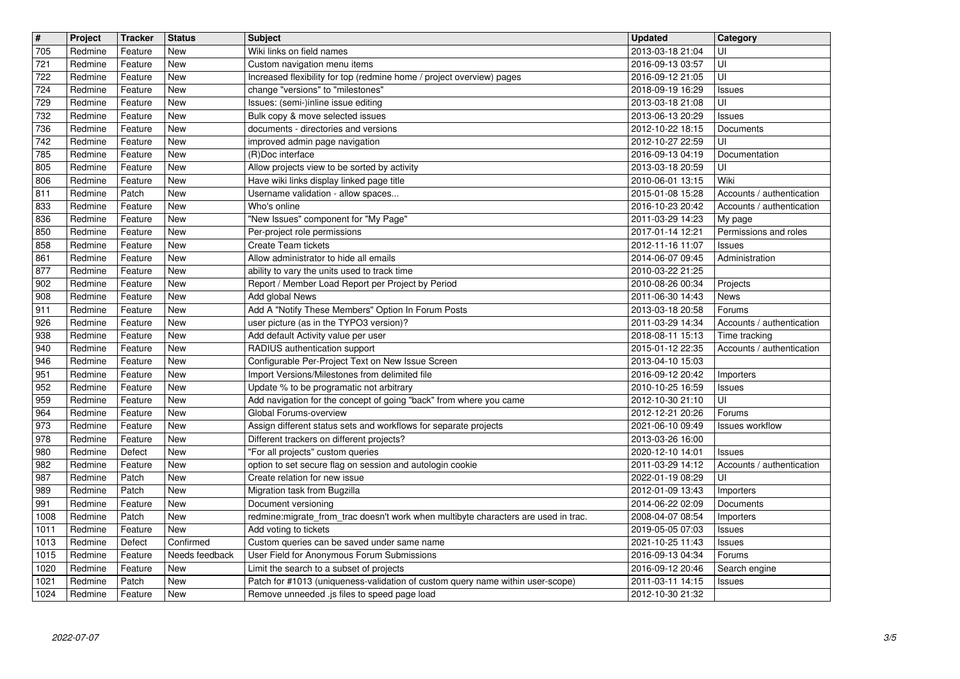| $\overline{\mathbf{H}}$ | Project            | <b>Tracker</b>     | <b>Status</b>               | <b>Subject</b>                                                                                                                 | <b>Updated</b>                       | Category                             |
|-------------------------|--------------------|--------------------|-----------------------------|--------------------------------------------------------------------------------------------------------------------------------|--------------------------------------|--------------------------------------|
| 705<br>721              | Redmine<br>Redmine | Feature<br>Feature | New<br>New                  | Wiki links on field names<br>Custom navigation menu items                                                                      | 2013-03-18 21:04<br>2016-09-13 03:57 | UI<br>UI                             |
| 722                     | Redmine            | Feature            | <b>New</b><br><b>New</b>    | Increased flexibility for top (redmine home / project overview) pages                                                          | 2016-09-12 21:05                     | UI                                   |
| 724<br>729              | Redmine<br>Redmine | Feature<br>Feature | New                         | change "versions" to "milestones"<br>Issues: (semi-)inline issue editing                                                       | 2018-09-19 16:29<br>2013-03-18 21:08 | <b>Issues</b><br>UI                  |
| 732                     | Redmine            | Feature            | New                         | Bulk copy & move selected issues                                                                                               | 2013-06-13 20:29                     | Issues                               |
| 736<br>742              | Redmine<br>Redmine | Feature<br>Feature | <b>New</b><br><b>New</b>    | documents - directories and versions<br>improved admin page navigation                                                         | 2012-10-22 18:15<br>2012-10-27 22:59 | Documents<br>UI                      |
| 785                     | Redmine            | Feature            | New                         | (R)Doc interface                                                                                                               | 2016-09-13 04:19                     | Documentation                        |
| 805<br>806              | Redmine<br>Redmine | Feature<br>Feature | <b>New</b><br><b>New</b>    | Allow projects view to be sorted by activity<br>Have wiki links display linked page title                                      | 2013-03-18 20:59<br>2010-06-01 13:15 | UI<br>Wiki                           |
| 811                     | Redmine            | Patch              | <b>New</b>                  | Username validation - allow spaces                                                                                             | 2015-01-08 15:28                     | Accounts / authentication            |
| 833<br>836              | Redmine<br>Redmine | Feature<br>Feature | <b>New</b><br><b>New</b>    | Who's online<br>"New Issues" component for "My Page"                                                                           | 2016-10-23 20:42<br>2011-03-29 14:23 | Accounts / authentication<br>My page |
| 850                     | Redmine            | Feature            | <b>New</b><br>New           | Per-project role permissions                                                                                                   | 2017-01-14 12:21                     | Permissions and roles                |
| 858<br>861              | Redmine<br>Redmine | Feature<br>Feature | New                         | Create Team tickets<br>Allow administrator to hide all emails                                                                  | 2012-11-16 11:07<br>2014-06-07 09:45 | <b>Issues</b><br>Administration      |
| 877                     | Redmine            | Feature            | <b>New</b>                  | ability to vary the units used to track time                                                                                   | 2010-03-22 21:25                     |                                      |
| 902<br>908              | Redmine<br>Redmine | Feature<br>Feature | New<br>New                  | Report / Member Load Report per Project by Period<br>Add global News                                                           | 2010-08-26 00:34<br>2011-06-30 14:43 | Projects<br><b>News</b>              |
| 911<br>926              | Redmine<br>Redmine | Feature<br>Feature | <b>New</b><br>New           | Add A "Notify These Members" Option In Forum Posts<br>user picture (as in the TYPO3 version)?                                  | 2013-03-18 20:58<br>2011-03-29 14:34 | Forums<br>Accounts / authentication  |
| 938                     | Redmine            | Feature            | <b>New</b>                  | Add default Activity value per user                                                                                            | 2018-08-11 15:13                     | Time tracking                        |
| 940<br>946              | Redmine<br>Redmine | Feature<br>Feature | New<br>New                  | RADIUS authentication support<br>Configurable Per-Project Text on New Issue Screen                                             | 2015-01-12 22:35<br>2013-04-10 15:03 | Accounts / authentication            |
| 951                     | Redmine            | Feature            | <b>New</b>                  | Import Versions/Milestones from delimited file                                                                                 | 2016-09-12 20:42                     | Importers                            |
| 952<br>959              | Redmine<br>Redmine | Feature<br>Feature | New<br>New                  | Update % to be programatic not arbitrary<br>Add navigation for the concept of going "back" from where you came                 | 2010-10-25 16:59<br>2012-10-30 21:10 | <b>Issues</b><br>UI                  |
| 964                     | Redmine            | Feature            | <b>New</b>                  | Global Forums-overview                                                                                                         | 2012-12-21 20:26                     | Forums                               |
| 973<br>978              | Redmine<br>Redmine | Feature<br>Feature | <b>New</b><br><b>New</b>    | Assign different status sets and workflows for separate projects<br>Different trackers on different projects?                  | 2021-06-10 09:49<br>2013-03-26 16:00 | Issues workflow                      |
| 980                     | Redmine            | Defect             | <b>New</b>                  | "For all projects" custom queries                                                                                              | 2020-12-10 14:01                     | <b>Issues</b>                        |
| 982<br>987              | Redmine<br>Redmine | Feature<br>Patch   | New<br>New                  | option to set secure flag on session and autologin cookie<br>Create relation for new issue                                     | 2011-03-29 14:12<br>2022-01-19 08:29 | Accounts / authentication<br>UI      |
| 989                     | Redmine            | Patch              | New                         | Migration task from Bugzilla                                                                                                   | 2012-01-09 13:43                     | Importers                            |
| 991<br>1008             | Redmine<br>Redmine | Feature<br>Patch   | New<br>New                  | Document versioning<br>redmine:migrate_from_trac doesn't work when multibyte characters are used in trac.                      | 2014-06-22 02:09<br>2008-04-07 08:54 | Documents<br>Importers               |
| 1011                    | Redmine            | Feature            | <b>New</b>                  | Add voting to tickets                                                                                                          | 2019-05-05 07:03                     | <b>Issues</b>                        |
| 1013<br>1015            | Redmine<br>Redmine | Defect<br>Feature  | Confirmed<br>Needs feedback | Custom queries can be saved under same name<br>User Field for Anonymous Forum Submissions                                      | 2021-10-25 11:43<br>2016-09-13 04:34 | Issues<br>Forums                     |
| 1020                    | Redmine            | Feature            | New                         | Limit the search to a subset of projects                                                                                       | 2016-09-12 20:46                     | Search engine                        |
| 1021<br>1024            | Redmine<br>Redmine | Patch<br>Feature   | New<br>New                  | Patch for #1013 (uniqueness-validation of custom query name within user-scope)<br>Remove unneeded .js files to speed page load | 2011-03-11 14:15<br>2012-10-30 21:32 | Issues                               |
|                         |                    |                    |                             |                                                                                                                                |                                      |                                      |
|                         |                    |                    |                             |                                                                                                                                |                                      |                                      |
|                         |                    |                    |                             |                                                                                                                                |                                      |                                      |
|                         |                    |                    |                             |                                                                                                                                |                                      |                                      |
|                         |                    |                    |                             |                                                                                                                                |                                      |                                      |
|                         |                    |                    |                             |                                                                                                                                |                                      |                                      |
|                         |                    |                    |                             |                                                                                                                                |                                      |                                      |
|                         |                    |                    |                             |                                                                                                                                |                                      |                                      |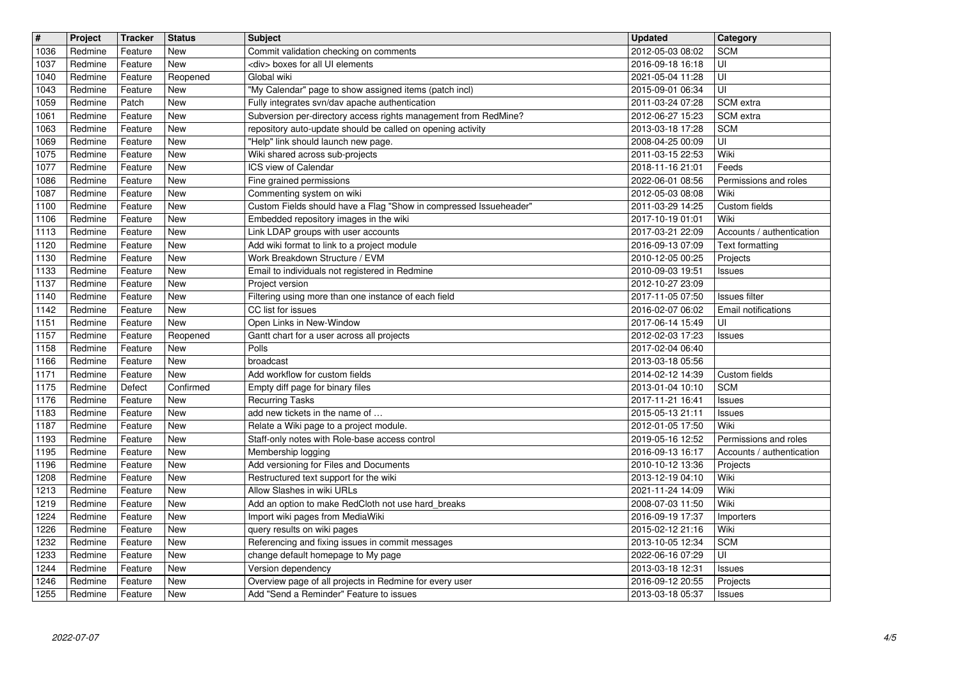| $\sqrt{t}$   | Project            | <b>Tracker</b>     | <b>Status</b>            | <b>Subject</b>                                                                                              | <b>Updated</b>                       | Category                              |
|--------------|--------------------|--------------------|--------------------------|-------------------------------------------------------------------------------------------------------------|--------------------------------------|---------------------------------------|
| 1036<br>1037 | Redmine<br>Redmine | Feature<br>Feature | New<br><b>New</b>        | Commit validation checking on comments<br><div> boxes for all UI elements</div>                             | 2012-05-03 08:02<br>2016-09-18 16:18 | <b>SCM</b><br>UI                      |
| 1040         | Redmine            | Feature            | Reopened                 | Global wiki                                                                                                 | 2021-05-04 11:28                     | UI                                    |
| 1043<br>1059 | Redmine<br>Redmine | Feature<br>Patch   | New<br>New               | "My Calendar" page to show assigned items (patch incl)<br>Fully integrates svn/dav apache authentication    | 2015-09-01 06:34<br>2011-03-24 07:28 | UI<br>SCM extra                       |
| 1061         | Redmine            | Feature            | <b>New</b>               | Subversion per-directory access rights management from RedMine?                                             | 2012-06-27 15:23                     | SCM extra                             |
| 1063<br>1069 | Redmine<br>Redmine | Feature<br>Feature | New<br>New               | repository auto-update should be called on opening activity<br>"Help" link should launch new page.          | 2013-03-18 17:28<br>2008-04-25 00:09 | <b>SCM</b><br>UI                      |
| 1075         | Redmine            | Feature            | New                      | Wiki shared across sub-projects                                                                             | 2011-03-15 22:53                     | Wiki                                  |
| 1077<br>1086 | Redmine<br>Redmine | Feature<br>Feature | New<br><b>New</b>        | ICS view of Calendar<br>Fine grained permissions                                                            | 2018-11-16 21:01<br>2022-06-01 08:56 | Feeds<br>Permissions and roles        |
| 1087         | Redmine            | Feature            | <b>New</b>               | Commenting system on wiki                                                                                   | 2012-05-03 08:08                     | Wiki                                  |
| 1100<br>1106 | Redmine<br>Redmine | Feature<br>Feature | New<br>New               | Custom Fields should have a Flag "Show in compressed Issueheader"<br>Embedded repository images in the wiki | 2011-03-29 14:25<br>2017-10-19 01:01 | Custom fields<br>Wiki                 |
| 1113         | Redmine            | Feature            | New                      | Link LDAP groups with user accounts                                                                         | 2017-03-21 22:09                     | Accounts / authentication             |
| 1120<br>1130 | Redmine<br>Redmine | Feature<br>Feature | New<br>New               | Add wiki format to link to a project module<br>Work Breakdown Structure / EVM                               | 2016-09-13 07:09<br>2010-12-05 00:25 | Text formatting                       |
| 1133         | Redmine            | Feature            | <b>New</b>               | Email to individuals not registered in Redmine                                                              | 2010-09-03 19:51                     | Projects<br><b>Issues</b>             |
| 1137<br>1140 | Redmine            | Feature            | New                      | Project version                                                                                             | 2012-10-27 23:09                     |                                       |
| 1142         | Redmine<br>Redmine | Feature<br>Feature | New<br><b>New</b>        | Filtering using more than one instance of each field<br>CC list for issues                                  | 2017-11-05 07:50<br>2016-02-07 06:02 | Issues filter<br>Email notifications  |
| 1151         | Redmine            | Feature            | New                      | Open Links in New-Window                                                                                    | 2017-06-14 15:49                     | UI                                    |
| 1157<br>1158 | Redmine<br>Redmine | Feature<br>Feature | Reopened<br>New          | Gantt chart for a user across all projects<br>Polls                                                         | 2012-02-03 17:23<br>2017-02-04 06:40 | <b>Issues</b>                         |
| 1166         | Redmine            | Feature            | New                      | broadcast                                                                                                   | 2013-03-18 05:56                     |                                       |
| 1171<br>1175 | Redmine<br>Redmine | Feature<br>Defect  | New<br>Confirmed         | Add workflow for custom fields<br>Empty diff page for binary files                                          | 2014-02-12 14:39<br>2013-01-04 10:10 | Custom fields<br><b>SCM</b>           |
| 1176         | Redmine            | Feature            | <b>New</b>               | <b>Recurring Tasks</b>                                                                                      | 2017-11-21 16:41                     | <b>Issues</b>                         |
| 1183<br>1187 | Redmine<br>Redmine | Feature<br>Feature | <b>New</b><br><b>New</b> | add new tickets in the name of<br>Relate a Wiki page to a project module.                                   | 2015-05-13 21:11<br>2012-01-05 17:50 | <b>Issues</b><br>Wiki                 |
| 1193         | Redmine            | Feature            | New                      | Staff-only notes with Role-base access control                                                              | 2019-05-16 12:52                     | Permissions and roles                 |
| 1195<br>1196 | Redmine<br>Redmine | Feature<br>Feature | New<br>New               | Membership logging<br>Add versioning for Files and Documents                                                | 2016-09-13 16:17<br>2010-10-12 13:36 | Accounts / authentication<br>Projects |
| 1208         | Redmine            | Feature            | New                      | Restructured text support for the wiki                                                                      | 2013-12-19 04:10                     | Wiki                                  |
| 1213<br>1219 | Redmine<br>Redmine | Feature<br>Feature | <b>New</b><br><b>New</b> | Allow Slashes in wiki URLs<br>Add an option to make RedCloth not use hard_breaks                            | 2021-11-24 14:09<br>2008-07-03 11:50 | Wiki<br>Wiki                          |
| 1224         | Redmine            | Feature            | New                      | Import wiki pages from MediaWiki                                                                            | 2016-09-19 17:37                     | Importers                             |
| 1226<br>1232 | Redmine<br>Redmine | Feature<br>Feature | New<br><b>New</b>        | query results on wiki pages<br>Referencing and fixing issues in commit messages                             | 2015-02-12 21:16<br>2013-10-05 12:34 | Wiki<br><b>SCM</b>                    |
| 1233         | Redmine            | Feature            | New                      | change default homepage to My page                                                                          | 2022-06-16 07:29                     | UI                                    |
| 1244         | Redmine            | Feature            | New                      | Version dependency                                                                                          | 2013-03-18 12:31                     | <b>Issues</b>                         |
| 1246<br>1255 | Redmine<br>Redmine | Feature<br>Feature | New<br>New               | Overview page of all projects in Redmine for every user<br>Add "Send a Reminder" Feature to issues          | 2016-09-12 20:55<br>2013-03-18 05:37 | Projects<br>Issues                    |
|              |                    |                    |                          |                                                                                                             |                                      |                                       |
|              |                    |                    |                          |                                                                                                             |                                      |                                       |
|              |                    |                    |                          |                                                                                                             |                                      |                                       |
|              |                    |                    |                          |                                                                                                             |                                      |                                       |
|              |                    |                    |                          |                                                                                                             |                                      |                                       |
|              |                    |                    |                          |                                                                                                             |                                      |                                       |
|              |                    |                    |                          |                                                                                                             |                                      |                                       |